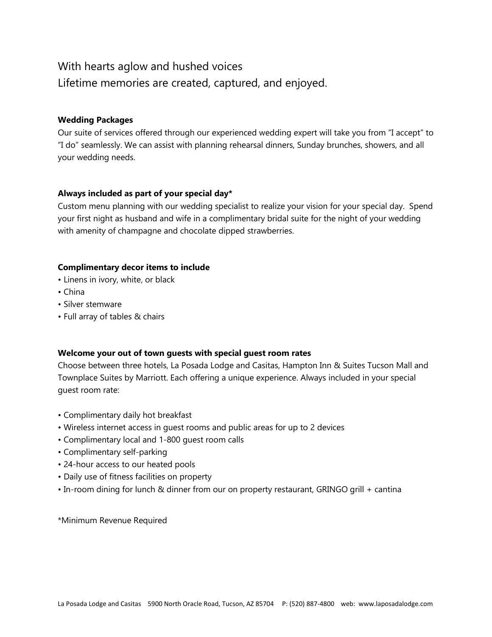# With hearts aglow and hushed voices Lifetime memories are created, captured, and enjoyed.

## **Wedding Packages**

Our suite of services offered through our experienced wedding expert will take you from "I accept" to "I do" seamlessly. We can assist with planning rehearsal dinners, Sunday brunches, showers, and all your wedding needs.

## **Always included as part of your special day\***

Custom menu planning with our wedding specialist to realize your vision for your special day. Spend your first night as husband and wife in a complimentary bridal suite for the night of your wedding with amenity of champagne and chocolate dipped strawberries.

## **Complimentary decor items to include**

- Linens in ivory, white, or black
- China
- Silver stemware
- Full array of tables & chairs

## **Welcome your out of town guests with special guest room rates**

Choose between three hotels, La Posada Lodge and Casitas, Hampton Inn & Suites Tucson Mall and Townplace Suites by Marriott. Each offering a unique experience. Always included in your special guest room rate:

- Complimentary daily hot breakfast
- Wireless internet access in guest rooms and public areas for up to 2 devices
- Complimentary local and 1-800 guest room calls
- Complimentary self-parking
- 24-hour access to our heated pools
- Daily use of fitness facilities on property
- In-room dining for lunch & dinner from our on property restaurant, GRINGO grill + cantina

\*Minimum Revenue Required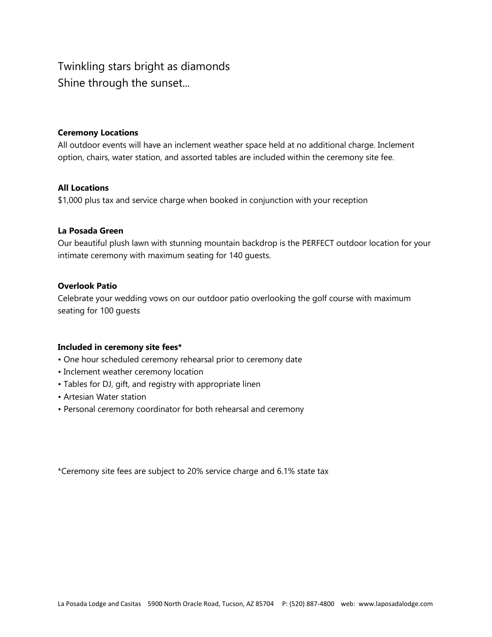# Twinkling stars bright as diamonds Shine through the sunset...

## **Ceremony Locations**

All outdoor events will have an inclement weather space held at no additional charge. Inclement option, chairs, water station, and assorted tables are included within the ceremony site fee.

## **All Locations**

\$1,000 plus tax and service charge when booked in conjunction with your reception

## **La Posada Green**

Our beautiful plush lawn with stunning mountain backdrop is the PERFECT outdoor location for your intimate ceremony with maximum seating for 140 guests.

## **Overlook Patio**

Celebrate your wedding vows on our outdoor patio overlooking the golf course with maximum seating for 100 guests

### **Included in ceremony site fees\***

- One hour scheduled ceremony rehearsal prior to ceremony date
- Inclement weather ceremony location
- Tables for DJ, gift, and registry with appropriate linen
- Artesian Water station
- Personal ceremony coordinator for both rehearsal and ceremony

\*Ceremony site fees are subject to 20% service charge and 6.1% state tax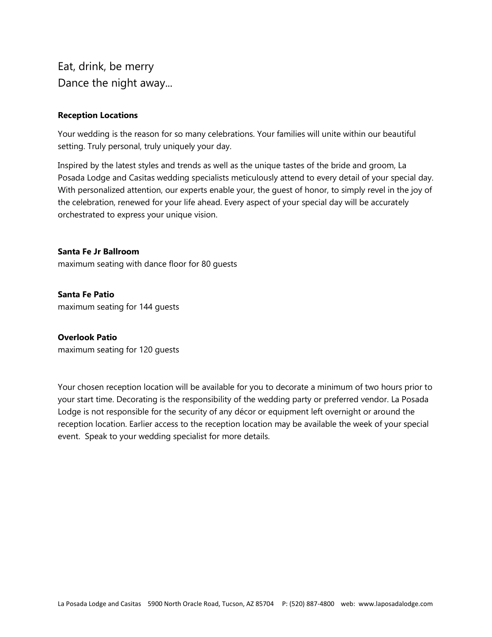Eat, drink, be merry Dance the night away...

## **Reception Locations**

Your wedding is the reason for so many celebrations. Your families will unite within our beautiful setting. Truly personal, truly uniquely your day.

Inspired by the latest styles and trends as well as the unique tastes of the bride and groom, La Posada Lodge and Casitas wedding specialists meticulously attend to every detail of your special day. With personalized attention, our experts enable your, the guest of honor, to simply revel in the joy of the celebration, renewed for your life ahead. Every aspect of your special day will be accurately orchestrated to express your unique vision.

**Santa Fe Jr Ballroom**  maximum seating with dance floor for 80 guests

**Santa Fe Patio**  maximum seating for 144 guests

## **Overlook Patio**

maximum seating for 120 guests

Your chosen reception location will be available for you to decorate a minimum of two hours prior to your start time. Decorating is the responsibility of the wedding party or preferred vendor. La Posada Lodge is not responsible for the security of any décor or equipment left overnight or around the reception location. Earlier access to the reception location may be available the week of your special event. Speak to your wedding specialist for more details.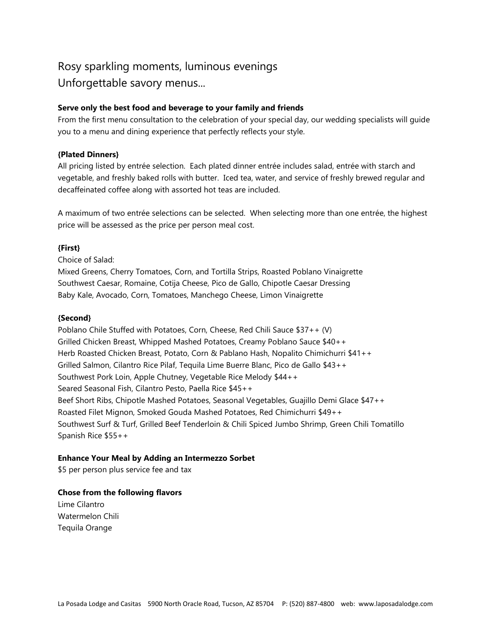# Rosy sparkling moments, luminous evenings Unforgettable savory menus...

## **Serve only the best food and beverage to your family and friends**

From the first menu consultation to the celebration of your special day, our wedding specialists will guide you to a menu and dining experience that perfectly reflects your style.

## **{Plated Dinners}**

All pricing listed by entrée selection. Each plated dinner entrée includes salad, entrée with starch and vegetable, and freshly baked rolls with butter. Iced tea, water, and service of freshly brewed regular and decaffeinated coffee along with assorted hot teas are included.

A maximum of two entrée selections can be selected. When selecting more than one entrée, the highest price will be assessed as the price per person meal cost.

## **{First}**

Choice of Salad:

Mixed Greens, Cherry Tomatoes, Corn, and Tortilla Strips, Roasted Poblano Vinaigrette Southwest Caesar, Romaine, Cotija Cheese, Pico de Gallo, Chipotle Caesar Dressing Baby Kale, Avocado, Corn, Tomatoes, Manchego Cheese, Limon Vinaigrette

## **{Second}**

Poblano Chile Stuffed with Potatoes, Corn, Cheese, Red Chili Sauce \$37++ (V) Grilled Chicken Breast, Whipped Mashed Potatoes, Creamy Poblano Sauce \$40++ Herb Roasted Chicken Breast, Potato, Corn & Pablano Hash, Nopalito Chimichurri \$41++ Grilled Salmon, Cilantro Rice Pilaf, Tequila Lime Buerre Blanc, Pico de Gallo \$43++ Southwest Pork Loin, Apple Chutney, Vegetable Rice Melody \$44++ Seared Seasonal Fish, Cilantro Pesto, Paella Rice \$45++ Beef Short Ribs, Chipotle Mashed Potatoes, Seasonal Vegetables, Guajillo Demi Glace \$47++ Roasted Filet Mignon, Smoked Gouda Mashed Potatoes, Red Chimichurri \$49++ Southwest Surf & Turf, Grilled Beef Tenderloin & Chili Spiced Jumbo Shrimp, Green Chili Tomatillo Spanish Rice \$55++

## **Enhance Your Meal by Adding an Intermezzo Sorbet**

\$5 per person plus service fee and tax

## **Chose from the following flavors**

Lime Cilantro Watermelon Chili Tequila Orange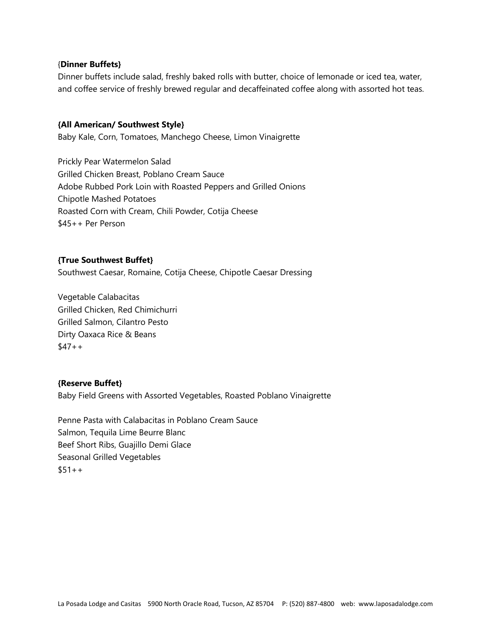## {**Dinner Buffets}**

Dinner buffets include salad, freshly baked rolls with butter, choice of lemonade or iced tea, water, and coffee service of freshly brewed regular and decaffeinated coffee along with assorted hot teas.

### **{All American/ Southwest Style}**

Baby Kale, Corn, Tomatoes, Manchego Cheese, Limon Vinaigrette

Prickly Pear Watermelon Salad Grilled Chicken Breast, Poblano Cream Sauce Adobe Rubbed Pork Loin with Roasted Peppers and Grilled Onions Chipotle Mashed Potatoes Roasted Corn with Cream, Chili Powder, Cotija Cheese \$45++ Per Person

## **{True Southwest Buffet}**

Southwest Caesar, Romaine, Cotija Cheese, Chipotle Caesar Dressing

Vegetable Calabacitas Grilled Chicken, Red Chimichurri Grilled Salmon, Cilantro Pesto Dirty Oaxaca Rice & Beans  $$47++$ 

### **{Reserve Buffet}**

Baby Field Greens with Assorted Vegetables, Roasted Poblano Vinaigrette

Penne Pasta with Calabacitas in Poblano Cream Sauce Salmon, Tequila Lime Beurre Blanc Beef Short Ribs, Guajillo Demi Glace Seasonal Grilled Vegetables  $$51++$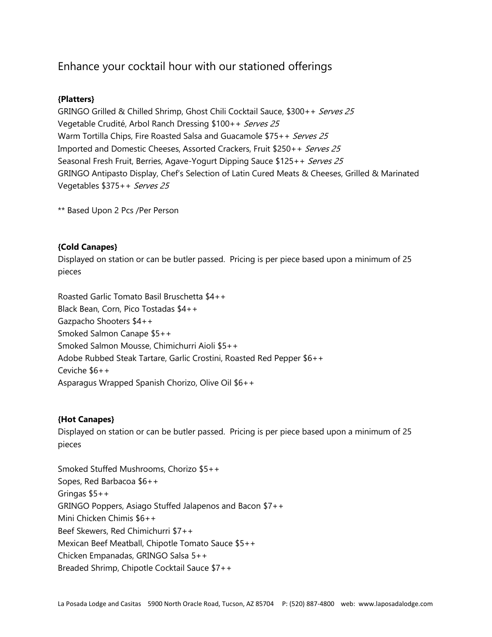# Enhance your cocktail hour with our stationed offerings

## **{Platters}**

GRINGO Grilled & Chilled Shrimp, Ghost Chili Cocktail Sauce, \$300++ Serves 25 Vegetable Crudité, Arbol Ranch Dressing \$100++ Serves 25 Warm Tortilla Chips, Fire Roasted Salsa and Guacamole \$75++ Serves 25 Imported and Domestic Cheeses, Assorted Crackers, Fruit \$250++ Serves 25 Seasonal Fresh Fruit, Berries, Agave-Yogurt Dipping Sauce \$125++ Serves 25 GRINGO Antipasto Display, Chef's Selection of Latin Cured Meats & Cheeses, Grilled & Marinated Vegetables \$375++ Serves 25

\*\* Based Upon 2 Pcs /Per Person

## **{Cold Canapes}**

Displayed on station or can be butler passed. Pricing is per piece based upon a minimum of 25 pieces

Roasted Garlic Tomato Basil Bruschetta \$4++ Black Bean, Corn, Pico Tostadas \$4++ Gazpacho Shooters \$4++ Smoked Salmon Canape \$5++ Smoked Salmon Mousse, Chimichurri Aioli \$5++ Adobe Rubbed Steak Tartare, Garlic Crostini, Roasted Red Pepper \$6++ Ceviche \$6++ Asparagus Wrapped Spanish Chorizo, Olive Oil \$6++

## **{Hot Canapes}**

Displayed on station or can be butler passed. Pricing is per piece based upon a minimum of 25 pieces

Smoked Stuffed Mushrooms, Chorizo \$5++ Sopes, Red Barbacoa \$6++ Gringas \$5++ GRINGO Poppers, Asiago Stuffed Jalapenos and Bacon \$7++ Mini Chicken Chimis \$6++ Beef Skewers, Red Chimichurri \$7++ Mexican Beef Meatball, Chipotle Tomato Sauce \$5++ Chicken Empanadas, GRINGO Salsa 5++ Breaded Shrimp, Chipotle Cocktail Sauce \$7++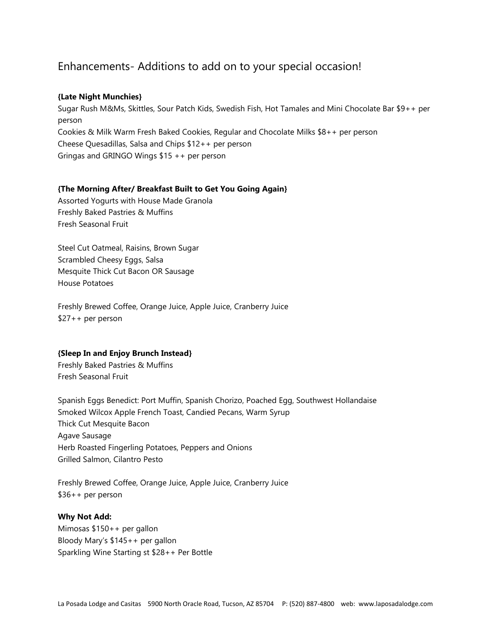## Enhancements- Additions to add on to your special occasion!

## **{Late Night Munchies}**

Sugar Rush M&Ms, Skittles, Sour Patch Kids, Swedish Fish, Hot Tamales and Mini Chocolate Bar \$9++ per person Cookies & Milk Warm Fresh Baked Cookies, Regular and Chocolate Milks \$8++ per person Cheese Quesadillas, Salsa and Chips \$12++ per person Gringas and GRINGO Wings \$15 ++ per person

## **{The Morning After/ Breakfast Built to Get You Going Again}**

Assorted Yogurts with House Made Granola Freshly Baked Pastries & Muffins Fresh Seasonal Fruit

Steel Cut Oatmeal, Raisins, Brown Sugar Scrambled Cheesy Eggs, Salsa Mesquite Thick Cut Bacon OR Sausage House Potatoes

Freshly Brewed Coffee, Orange Juice, Apple Juice, Cranberry Juice \$27++ per person

## **{Sleep In and Enjoy Brunch Instead}**

Freshly Baked Pastries & Muffins Fresh Seasonal Fruit

Spanish Eggs Benedict: Port Muffin, Spanish Chorizo, Poached Egg, Southwest Hollandaise Smoked Wilcox Apple French Toast, Candied Pecans, Warm Syrup Thick Cut Mesquite Bacon Agave Sausage Herb Roasted Fingerling Potatoes, Peppers and Onions Grilled Salmon, Cilantro Pesto

Freshly Brewed Coffee, Orange Juice, Apple Juice, Cranberry Juice \$36++ per person

## **Why Not Add:**

Mimosas \$150++ per gallon Bloody Mary's \$145++ per gallon Sparkling Wine Starting st \$28++ Per Bottle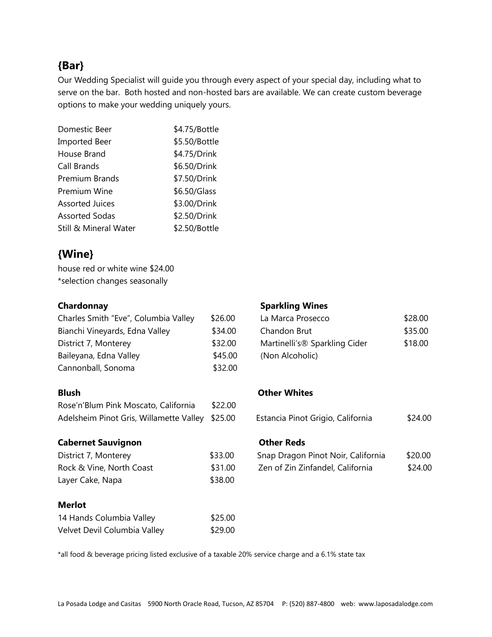# **{Bar}**

Our Wedding Specialist will guide you through every aspect of your special day, including what to serve on the bar. Both hosted and non-hosted bars are available. We can create custom beverage options to make your wedding uniquely yours.

| Domestic Beer                    | \$4.75/Bottle |
|----------------------------------|---------------|
| <b>Imported Beer</b>             | \$5.50/Bottle |
| House Brand                      | \$4.75/Drink  |
| Call Brands                      | \$6.50/Drink  |
| <b>Premium Brands</b>            | \$7.50/Drink  |
| Premium Wine                     | \$6.50/Glass  |
| Assorted Juices                  | \$3.00/Drink  |
| <b>Assorted Sodas</b>            | \$2.50/Drink  |
| <b>Still &amp; Mineral Water</b> | \$2.50/Bottle |

# **{Wine}**

house red or white wine \$24.00 \*selection changes seasonally

| Charles Smith "Eve", Columbia Valley | \$26.00 | La Marca Prosecco             | \$28.00 |
|--------------------------------------|---------|-------------------------------|---------|
| Bianchi Vineyards, Edna Valley       | \$34.00 | Chandon Brut                  | \$35.00 |
| District 7, Monterey                 | \$32.00 | Martinelli's® Sparkling Cider | \$18.00 |
| Baileyana, Edna Valley               | \$45.00 | (Non Alcoholic)               |         |
| Cannonball, Sonoma                   | \$32.00 |                               |         |

| Rose'n'Blum Pink Moscato, California            | \$22.00 |                                   |         |
|-------------------------------------------------|---------|-----------------------------------|---------|
| Adelsheim Pinot Gris, Willamette Valley \$25.00 |         | Estancia Pinot Grigio, California | \$24.00 |

## **Cabernet Sauvignon** Cabernet Sauvignon

| District 7, Monterey     | \$33.00 |
|--------------------------|---------|
| Rock & Vine, North Coast | \$31.00 |
| Layer Cake, Napa         | \$38.00 |

## **Merlot**

| 14 Hands Columbia Valley     | \$25.00 |
|------------------------------|---------|
| Velvet Devil Columbia Valley | \$29.00 |

## **Chardonnay Chardonnay Sparkling Wines**

| La Marca Prosecco             | \$28.00 |
|-------------------------------|---------|
| Chandon Brut                  | \$35.00 |
| Martinelli's® Sparkling Cider | \$18.00 |
| (Non Alcoholic)               |         |

## **Blush Other Whites**

| Estancia Pinot Grigio, California |  | \$24.00 |  |
|-----------------------------------|--|---------|--|
|                                   |  |         |  |

| District 7, Monterey     | \$33.00 | Snap Dragon Pinot Noir, California | \$20.00 |
|--------------------------|---------|------------------------------------|---------|
| Rock & Vine, North Coast | \$31.00 | Zen of Zin Zinfandel, California   | \$24.00 |

\*all food & beverage pricing listed exclusive of a taxable 20% service charge and a 6.1% state tax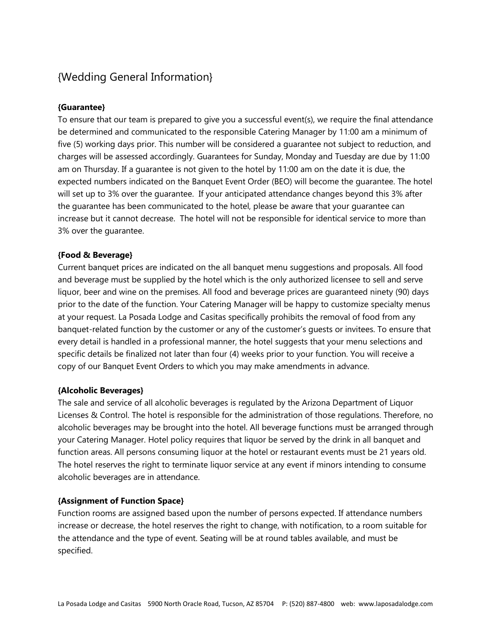# {Wedding General Information}

## **{Guarantee}**

To ensure that our team is prepared to give you a successful event(s), we require the final attendance be determined and communicated to the responsible Catering Manager by 11:00 am a minimum of five (5) working days prior. This number will be considered a guarantee not subject to reduction, and charges will be assessed accordingly. Guarantees for Sunday, Monday and Tuesday are due by 11:00 am on Thursday. If a guarantee is not given to the hotel by 11:00 am on the date it is due, the expected numbers indicated on the Banquet Event Order (BEO) will become the guarantee. The hotel will set up to 3% over the guarantee. If your anticipated attendance changes beyond this 3% after the guarantee has been communicated to the hotel, please be aware that your guarantee can increase but it cannot decrease. The hotel will not be responsible for identical service to more than 3% over the guarantee.

## **{Food & Beverage}**

Current banquet prices are indicated on the all banquet menu suggestions and proposals. All food and beverage must be supplied by the hotel which is the only authorized licensee to sell and serve liquor, beer and wine on the premises. All food and beverage prices are guaranteed ninety (90) days prior to the date of the function. Your Catering Manager will be happy to customize specialty menus at your request. La Posada Lodge and Casitas specifically prohibits the removal of food from any banquet-related function by the customer or any of the customer's guests or invitees. To ensure that every detail is handled in a professional manner, the hotel suggests that your menu selections and specific details be finalized not later than four (4) weeks prior to your function. You will receive a copy of our Banquet Event Orders to which you may make amendments in advance.

## **{Alcoholic Beverages}**

The sale and service of all alcoholic beverages is regulated by the Arizona Department of Liquor Licenses & Control. The hotel is responsible for the administration of those regulations. Therefore, no alcoholic beverages may be brought into the hotel. All beverage functions must be arranged through your Catering Manager. Hotel policy requires that liquor be served by the drink in all banquet and function areas. All persons consuming liquor at the hotel or restaurant events must be 21 years old. The hotel reserves the right to terminate liquor service at any event if minors intending to consume alcoholic beverages are in attendance.

## **{Assignment of Function Space}**

Function rooms are assigned based upon the number of persons expected. If attendance numbers increase or decrease, the hotel reserves the right to change, with notification, to a room suitable for the attendance and the type of event. Seating will be at round tables available, and must be specified.